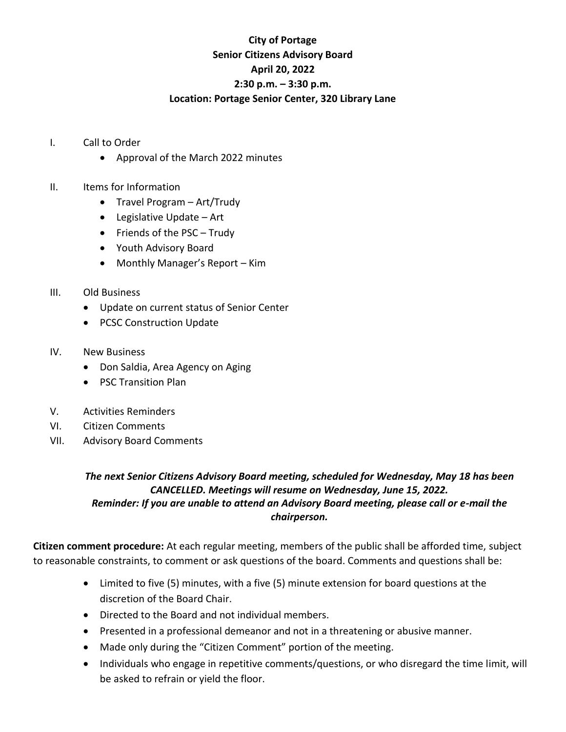## **City of Portage Senior Citizens Advisory Board April 20, 2022 2:30 p.m. – 3:30 p.m. Location: Portage Senior Center, 320 Library Lane**

- I. Call to Order
	- Approval of the March 2022 minutes
- II. Items for Information
	- Travel Program Art/Trudy
	- Legislative Update Art
	- Friends of the PSC Trudy
	- Youth Advisory Board
	- Monthly Manager's Report Kim
- III. Old Business
	- Update on current status of Senior Center
	- PCSC Construction Update
- IV. New Business
	- Don Saldia, Area Agency on Aging
	- PSC Transition Plan
- V. Activities Reminders
- VI. Citizen Comments
- VII. Advisory Board Comments

## *The next Senior Citizens Advisory Board meeting, scheduled for Wednesday, May 18 has been CANCELLED. Meetings will resume on Wednesday, June 15, 2022. Reminder: If you are unable to attend an Advisory Board meeting, please call or e-mail the chairperson.*

**Citizen comment procedure:** At each regular meeting, members of the public shall be afforded time, subject to reasonable constraints, to comment or ask questions of the board. Comments and questions shall be:

- Limited to five (5) minutes, with a five (5) minute extension for board questions at the discretion of the Board Chair.
- Directed to the Board and not individual members.
- Presented in a professional demeanor and not in a threatening or abusive manner.
- Made only during the "Citizen Comment" portion of the meeting.
- Individuals who engage in repetitive comments/questions, or who disregard the time limit, will be asked to refrain or yield the floor.